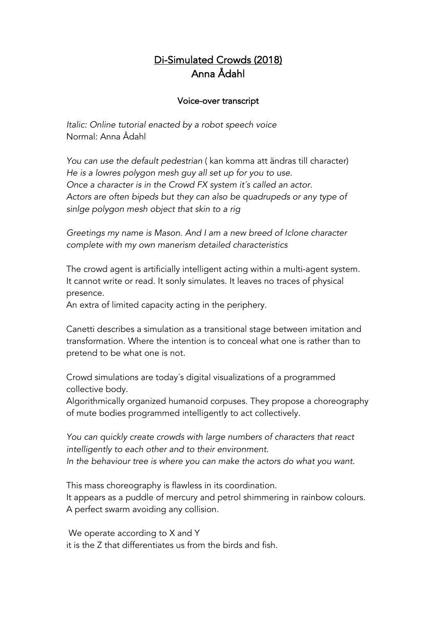## Di-Simulated Crowds (2018) Anna Ådahl

## Voice-over transcript

*Italic: Online tutorial enacted by a robot speech voice* Normal: Anna Ådahl

*You can use the default pedestrian* ( kan komma att ändras till character) *He is a lowres polygon mesh guy all set up for you to use. Once a character is in the Crowd FX system it´s called an actor. Actors are often bipeds but they can also be quadrupeds or any type of sinlge polygon mesh object that skin to a rig*

*Greetings my name is Mason. And I am a new breed of Iclone character complete with my own manerism detailed characteristics* 

The crowd agent is artificially intelligent acting within a multi-agent system. It cannot write or read. It sonly simulates. It leaves no traces of physical presence.

An extra of limited capacity acting in the periphery.

Canetti describes a simulation as a transitional stage between imitation and transformation. Where the intention is to conceal what one is rather than to pretend to be what one is not.

Crowd simulations are today´s digital visualizations of a programmed collective body.

Algorithmically organized humanoid corpuses. They propose a choreography of mute bodies programmed intelligently to act collectively.

*You can quickly create crowds with large numbers of characters that react intelligently to each other and to their environment. In the behaviour tree is where you can make the actors do what you want.*

This mass choreography is flawless in its coordination. It appears as a puddle of mercury and petrol shimmering in rainbow colours. A perfect swarm avoiding any collision.

We operate according to X and Y it is the Z that differentiates us from the birds and fish.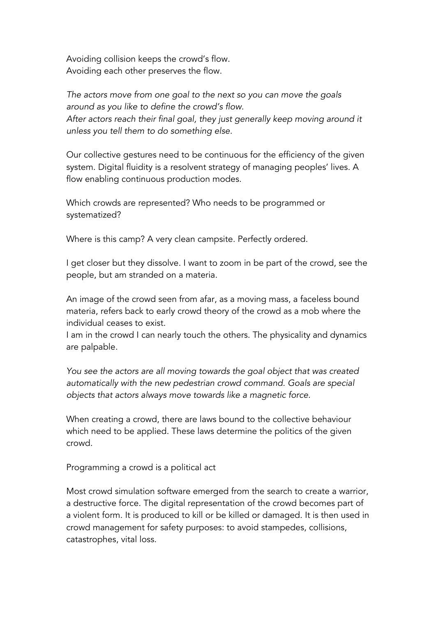Avoiding collision keeps the crowd's flow. Avoiding each other preserves the flow.

*The actors move from one goal to the next so you can move the goals around as you like to define the crowd's flow. After actors reach their final goal, they just generally keep moving around it unless you tell them to do something else.*

Our collective gestures need to be continuous for the efficiency of the given system. Digital fluidity is a resolvent strategy of managing peoples' lives. A flow enabling continuous production modes.

Which crowds are represented? Who needs to be programmed or systematized?

Where is this camp? A very clean campsite. Perfectly ordered.

I get closer but they dissolve. I want to zoom in be part of the crowd, see the people, but am stranded on a materia.

An image of the crowd seen from afar, as a moving mass, a faceless bound materia, refers back to early crowd theory of the crowd as a mob where the individual ceases to exist.

I am in the crowd I can nearly touch the others. The physicality and dynamics are palpable.

*You see the actors are all moving towards the goal object that was created automatically with the new pedestrian crowd command. Goals are special objects that actors always move towards like a magnetic force.*

When creating a crowd, there are laws bound to the collective behaviour which need to be applied. These laws determine the politics of the given crowd.

Programming a crowd is a political act

Most crowd simulation software emerged from the search to create a warrior, a destructive force. The digital representation of the crowd becomes part of a violent form. It is produced to kill or be killed or damaged. It is then used in crowd management for safety purposes: to avoid stampedes, collisions, catastrophes, vital loss.